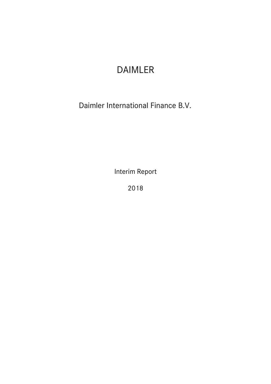# DAIMLER

Daimler International Finance B.V.

Interim Report

2018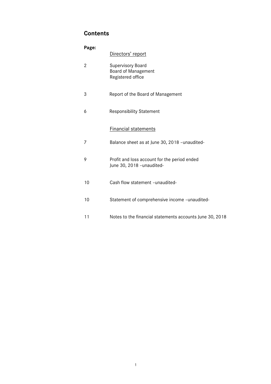# **Contents**

| Page:          |                                                                             |
|----------------|-----------------------------------------------------------------------------|
|                | Directors' report                                                           |
| $\overline{2}$ | <b>Supervisory Board</b><br><b>Board of Management</b><br>Registered office |
| 3              | Report of the Board of Management                                           |
| 6              | <b>Responsibility Statement</b>                                             |
|                | <b>Financial statements</b>                                                 |
| $\overline{7}$ | Balance sheet as at June 30, 2018 - unaudited-                              |
| 9              | Profit and loss account for the period ended<br>June 30, 2018 - unaudited-  |
| 10             | Cash flow statement -unaudited-                                             |
| 10             | Statement of comprehensive income -unaudited-                               |
| 11             | Notes to the financial statements accounts June 30, 2018                    |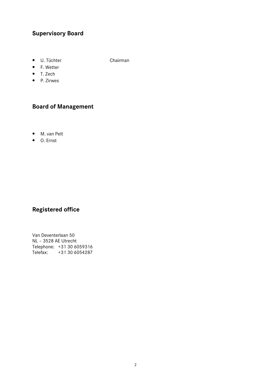# **Supervisory Board**

• U. Tüchter Chairman

- F. Wetter • T. Zech
- P. Zirwes
- 

# **Board of Management**

- M. van Pelt
- O. Ernst

# **Registered office**

Van Deventerlaan 50 NL – 3528 AE Utrecht Telephone: +31 30 6059316 Telefax: +31 30 6054287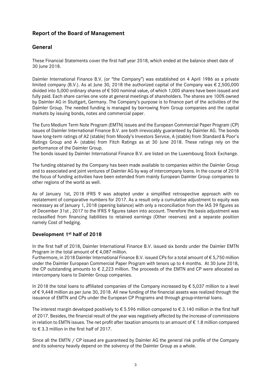# **Report of the Board of Management**

# **General**

These Financial Statements cover the first half year 2018, which ended at the balance sheet date of 30 lune 2018.

Daimler International Finance B.V. (or "the Company") was established on 4 April 1986 as a private limited company (B.V.). As at June 30, 2018 the authorized capital of the Company was  $\epsilon$  2,500,000 divided into 5,000 ordinary shares of € 500 nominal value, of which 1,000 shares have been issued and fully paid. Each share carries one vote at general meetings of shareholders. The shares are 100% owned by Daimler AG in Stuttgart, Germany. The Company's purpose is to finance part of the activities of the Daimler Group. The needed funding is managed by borrowing from Group companies and the capital markets by issuing bonds, notes and commercial paper.

The Euro Medium Term Note Program (EMTN) issues and the European Commercial Paper Program (CP) issues of Daimler International Finance B.V. are both irrevocably guaranteed by Daimler AG. The bonds have long-term ratings of A2 (stable) from Moody's Investors Service, A (stable) from Standard & Poor's Ratings Group and A- (stable) from Fitch Ratings as at 30 June 2018. These ratings rely on the performance of the Daimler Group.

The bonds issued by Daimler International Finance B.V. are listed on the Luxembourg Stock Exchange.

The funding obtained by the Company has been made available to companies within the Daimler Group and to associated and joint ventures of Daimler AG by way of intercompany loans. In the course of 2018 the focus of funding activities have been extended from mainly European Daimler Group companies to other regions of the world as well.

As of January 1st, 2018 IFRS 9 was adopted under a simplified retrospective approach with no restatement of comparative numbers for 2017. As a result only a cumulative adjustment to equity was necessary as of January 1, 2018 (opening balance) with only a reconciliation from the IAS 39 figures as of December 31st , 2017 to the IFRS 9 figures taken into account. Therefore the basis adjustment was reclassified from financing liabilities to retained earnings (Other reserves) and a separate position namely Cost of hedging.

# **Development 1st half of 2018**

In the first half of 2018, Daimler International Finance B.V. issued six bonds under the Daimler EMTN Program in the total amount of  $\epsilon$  4,087 million.

Furthermore, in 2018 Daimler International Finance B.V. issued CPs for a total amount of € 5,750 million under the Daimler European Commercial Paper Program with tenors up to 4 months. At 30 June 2018, the CP outstanding amounts to  $\epsilon$  2,223 million. The proceeds of the EMTN and CP were allocated as intercompany loans to Daimler Group companies.

In 2018 the total loans to affiliated companies of the Company increased by € 5,037 million to a level of € 9,448 million as per June 30, 2018. All new funding of the financial assets was realized through the issuance of EMTN and CPs under the European CP Programs and through group-internal loans.

The interest margin developed positively to  $\epsilon$  5.596 million compared to  $\epsilon$  3.140 million in the first half of 2017. Besides, the financial result of the year was negatively affected by the increase of commissions in relation to EMTN issues. The net profit after taxation amounts to an amount of € 1.8 million compared to € 3.3 million in the first half of 2017.

Since all the EMTN / CP issued are guaranteed by Daimler AG the general risk profile of the Company and its solvency heavily depend on the solvency of the Daimler Group as a whole.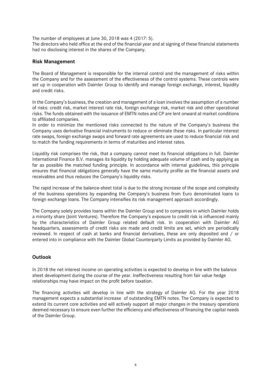The number of employees at June 30, 2018 was 4 (2017: 5).

The directors who held office at the end of the financial year and at signing of these financial statements had no disclosing interest in the shares of the Company.

#### **Risk Management**

The Board of Management is responsible for the internal control and the management of risks within the Company and for the assessment of the effectiveness of the control systems. These controls were set up in cooperation with Daimler Group to identify and manage foreign exchange, interest, liquidity and credit risks.

In the Company's business, the creation and management of a loan involves the assumption of a number of risks: credit risk, market interest rate risk, foreign exchange risk, market risk and other operational risks. The funds obtained with the issuance of EMTN notes and CP are lent onward at market conditions to affiliated companies.

In order to minimize the mentioned risks connected to the nature of the Company's business the Company uses derivative financial instruments to reduce or eliminate these risks. In particular interest rate swaps, foreign exchange swaps and forward rate agreements are used to reduce financial risk and to match the funding requirements in terms of maturities and interest rates.

Liquidity risk comprises the risk, that a company cannot meet its financial obligations in full. Daimler International Finance B.V. manages its liquidity by holding adequate volume of cash and by applying as far as possible the matched funding principle. In accordance with internal guidelines, this principle ensures that financial obligations generally have the same maturity profile as the financial assets and receivables and thus reduces the Company's liquidity risks.

The rapid increase of the balance-sheet total is due to the strong increase of the scope and complexity of the business operations by expanding the Company's business from Euro denominated loans to foreign exchange loans. The Company intensifies its risk management approach accordingly.

The Company solely provides loans within the Daimler Group and to companies in which Daimler holds a minority share (Joint Ventures). Therefore the Company's exposure to credit risk is influenced mainly by the characteristics of Daimler Group related default risk. In cooperation with Daimler AG headquarters, assessments of credit risks are made and credit limits are set, which are periodically reviewed. In respect of cash at banks and financial derivatives, these are only deposited and / or entered into in compliance with the Daimler Global Counterparty Limits as provided by Daimler AG.

# **Outlook**

In 2018 the net interest income on operating activities is expected to develop in line with the balance sheet development during the course of the year. Ineffectiveness resulting from fair value hedge relationships may have impact on the profit before taxation.

The financing activities will develop in line with the strategy of Daimler AG. For the year 2018 management expects a substantial increase of outstanding EMTN notes. The Company is expected to extend its current core activities and will actively support all major changes in the treasury operations deemed necessary to ensure even further the efficiency and effectiveness of financing the capital needs of the Daimler Group.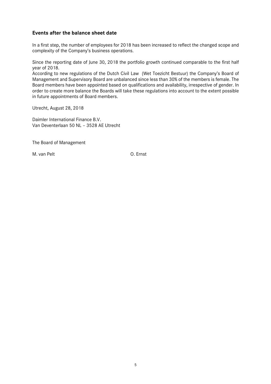#### **Events after the balance sheet date**

In a first step, the number of employees for 2018 has been increased to reflect the changed scope and complexity of the Company's business operations.

Since the reporting date of June 30, 2018 the portfolio growth continued comparable to the first half year of 2018.

According to new regulations of the Dutch Civil Law (Wet Toezicht Bestuur) the Company's Board of Management and Supervisory Board are unbalanced since less than 30% of the members is female. The Board members have been appointed based on qualifications and availability, irrespective of gender. In order to create more balance the Boards will take these regulations into account to the extent possible in future appointments of Board members.

Utrecht, August 28, 2018

Daimler International Finance B.V. Van Deventerlaan 50 NL – 3528 AE Utrecht

The Board of Management

M. van Pelt O. Ernst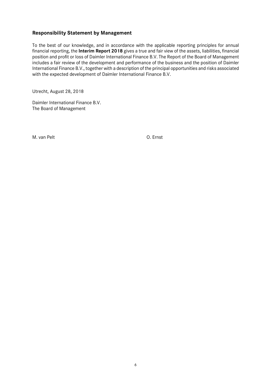#### **Responsibility Statement by Management**

To the best of our knowledge, and in accordance with the applicable reporting principles for annual financial reporting, the **Interim Report 2018** gives a true and fair view of the assets, liabilities, financial position and profit or loss of Daimler International Finance B.V. The Report of the Board of Management includes a fair review of the development and performance of the business and the position of Daimler International Finance B.V., together with a description of the principal opportunities and risks associated with the expected development of Daimler International Finance B.V.

Utrecht, August 28, 2018

Daimler International Finance B.V. The Board of Management

M. van Pelt O. Ernst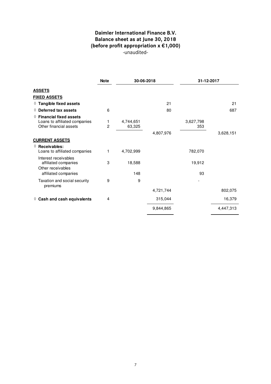# **Daimler International Finance B.V. Balance sheet as at June 30, 2018 (before profit appropriation x €1,000)**  -unaudited-

|                                                                                              | <b>Note</b>         | 30-06-2018          |           | 31-12-2017       |           |
|----------------------------------------------------------------------------------------------|---------------------|---------------------|-----------|------------------|-----------|
| <b>ASSETS</b>                                                                                |                     |                     |           |                  |           |
| <b>FIXED ASSETS</b>                                                                          |                     |                     |           |                  |           |
| $\Diamond$ Tangible fixed assets                                                             |                     |                     | 21        |                  | 21        |
| $\Diamond$ Deferred tax assets                                                               | 6                   |                     | 80        |                  | 687       |
| $\Diamond$ Financial fixed assets<br>Loans to affiliated companies<br>Other financial assets | 1<br>$\overline{2}$ | 4,744,651<br>63,325 |           | 3,627,798<br>353 |           |
|                                                                                              |                     |                     | 4,807,976 |                  | 3,628,151 |
| <b>CURRENT ASSETS</b>                                                                        |                     |                     |           |                  |           |
| ♦ Receivables:<br>Loans to affiliated companies                                              | 1                   | 4,702,999           |           | 782,070          |           |
| Interest receivables<br>affiliated companies<br>Other receivables                            | 3                   | 18,588              |           | 19,912           |           |
| affiliated companies                                                                         |                     | 148                 |           | 93               |           |
| Taxation and social security<br>premiums                                                     | 9                   | 9                   |           |                  |           |
|                                                                                              |                     |                     | 4,721,744 |                  | 802,075   |
| $\Diamond$ Cash and cash equivalents                                                         | 4                   |                     | 315,044   |                  | 16,379    |
|                                                                                              |                     |                     | 9,844,865 |                  | 4,447,313 |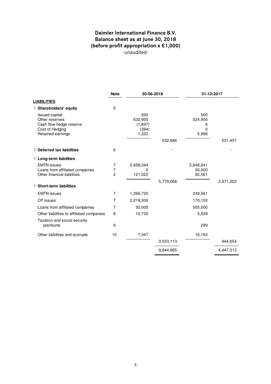# **Daimler International Finance B.V. Balance sheet as at June 30, 2018 (before profit appropriation x €1,000)**  -unaudited-

|                                                                                                     | <b>Note</b>                           | 30-06-2018                                  |           | 31-12-2017                        |           |
|-----------------------------------------------------------------------------------------------------|---------------------------------------|---------------------------------------------|-----------|-----------------------------------|-----------|
| <b>LIABILITIES</b>                                                                                  |                                       |                                             |           |                                   |           |
| $\diamond$ Shareholders' equity                                                                     | 5                                     |                                             |           |                                   |           |
| Issued capital<br>Other reserves<br>Cash flow hedge reserve<br>Cost of Hedging<br>Retained earnings |                                       | 500<br>532,955<br>(1,697)<br>(394)<br>1,322 |           | 500<br>524,955<br>6<br>0<br>5,996 |           |
|                                                                                                     |                                       |                                             | 532,686   |                                   | 531,457   |
| $\Diamond$ Deferred tax liabilities                                                                 | 6                                     |                                             |           |                                   |           |
| $\Diamond$ Long-term liabilities                                                                    |                                       |                                             |           |                                   |           |
| <b>EMTN</b> issues<br>Loans from affiliated companies<br>Other financial liabilities                | 7<br>$\overline{7}$<br>$\overline{c}$ | 5,658,044<br>0<br>121,022                   |           | 2,848,641<br>30,000<br>92,561     |           |
| $\diamond$ Short-term liabilities                                                                   |                                       |                                             | 5,779,066 |                                   | 2,971,202 |
| <b>EMTN</b> issues                                                                                  | $\overline{7}$                        | 1,266,725                                   |           | 249,561                           |           |
| CP issues                                                                                           | 7                                     | 2,218,306                                   |           | 170,102                           |           |
| Loans from affiliated companies                                                                     | 7                                     | 30,000                                      |           | 505,000                           |           |
| Other liabilities to affiliated companies                                                           | 8                                     | 10,735                                      |           | 3,529                             |           |
| Taxation and social security<br>premiums                                                            | 9                                     |                                             |           | 299                               |           |
| Other liabilities and accruals                                                                      | 10                                    | 7,347                                       |           | 16,163                            |           |
|                                                                                                     |                                       |                                             | 3,533,113 |                                   | 944,654   |
|                                                                                                     |                                       |                                             | 9,844,865 |                                   | 4,447,313 |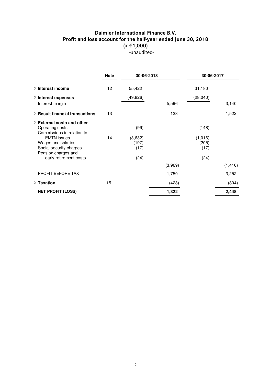# **Daimler International Finance B.V. Profit and loss account for the half-year ended June 30, 2018 (x €1,000)**  -unaudited-

|                                                                                      | <b>Note</b> | 30-06-2018               |         | 30-06-2017               |          |
|--------------------------------------------------------------------------------------|-------------|--------------------------|---------|--------------------------|----------|
| $\Diamond$ Interest income                                                           | 12          | 55,422                   |         | 31,180                   |          |
| $\Diamond$ Interest expenses                                                         |             | (49, 826)                |         | (28,040)                 |          |
| Interest margin                                                                      |             |                          | 5,596   |                          | 3,140    |
| $\Diamond$ Result financial transactions                                             | 13          |                          | 123     |                          | 1,522    |
| $\Diamond$ External costs and other<br>Operating costs<br>Commissions in relation to |             | (99)                     |         | (148)                    |          |
| <b>EMTN</b> issues<br>Wages and salaries<br>Social security charges                  | 14          | (3,632)<br>(197)<br>(17) |         | (1,016)<br>(205)<br>(17) |          |
| Pension charges and<br>early retirement costs                                        |             | (24)                     |         | (24)                     |          |
|                                                                                      |             |                          | (3,969) |                          | (1, 410) |
| PROFIT BEFORE TAX                                                                    |             |                          | 1,750   |                          | 3,252    |
| $\Diamond$ Taxation                                                                  | 15          |                          | (428)   |                          | (804)    |
| <b>NET PROFIT (LOSS)</b>                                                             |             |                          | 1,322   |                          | 2,448    |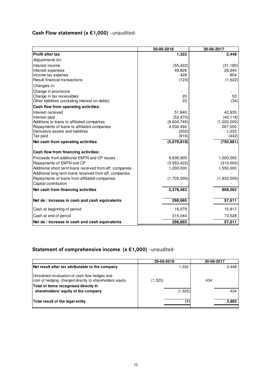# **Cash Flow statement (x €1,000)** –unaudited-

|                                                                                  | 30-06-2018     | 30-06-2017       |
|----------------------------------------------------------------------------------|----------------|------------------|
| <b>Profit after tax</b>                                                          | 1,322          | 2,448            |
| Adjustments for:                                                                 |                |                  |
| Interest income                                                                  | (55, 422)      | (31, 180)        |
| Interest expenses                                                                | 49,826         | 28,040           |
| Income tax expense                                                               | 428            | 804              |
| <b>Result financial transactions</b>                                             | (123)          | (1,522)          |
| Changes in:                                                                      |                |                  |
| Change in provisions                                                             |                |                  |
| Change in tax receivables                                                        | 20             | 53               |
| Other liabilities (excluding interest on debts)                                  | 33             | (34)             |
| Cash flow from operating activities:                                             |                |                  |
| Interest received                                                                | 51,840         | 42,935           |
| Interest paid                                                                    | (52, 470)      | (40, 118)        |
| Additions to loans to affiliated companies                                       | (9,604,746)    | (1,020,000)      |
| Repayments of loans to affiliated companies<br>Derivative assets and liabilities | 4,530,492      | 267,000<br>1,035 |
| Tax paid                                                                         | (202)<br>(816) | (442)            |
| Net cash from operating activities                                               | (5,079,818)    | (750, 981)       |
|                                                                                  |                |                  |
| Cash flow from financing activities:                                             |                |                  |
| Proceeds from additional EMTN and CP issues                                      | 9,836,905      | 1,500,592        |
| Repayments of EMTN and CP                                                        | (3,953,422)    | (310,000)        |
| Additional short term loans received from aff. companies                         | 1,200,000      | 1,550,000        |
| Additional long term loans received from aff. companies                          |                |                  |
| Repayments of loans from affiliated companies                                    | (1,705,000)    | (1,932,000)      |
| Capital contribution                                                             |                |                  |
| Net cash from financing activities                                               | 5,378,483      | 808,592          |
| Net de / increase in cash and cash equivalents                                   | 298,665        | 57,611           |
| Cash at beginning of period                                                      | 16,379         | 15,917           |
| Cash at end of period                                                            | 315,044        | 73,528           |
| Net de / increase in cash and cash equivalents                                   | 298,665        | 57,611           |

# **Statement of comprehensive income (x €1,000)** –unaudited-

|                                                                                                           | 30-06-2018 |     | 30-06-2017 |
|-----------------------------------------------------------------------------------------------------------|------------|-----|------------|
| Net result after tax attributable to the company                                                          | 1.322      |     | 2,448      |
| Unrealized revaluation of cash flow hedges and<br>cost of hedging charged directly to shareholders equity | (1,323)    | 434 |            |
| Total of items recognised directly in<br>shareholders' equity of the company                              | (1,323)    |     | 434        |
| Total result of the legal entity                                                                          |            | (1) | 2,882      |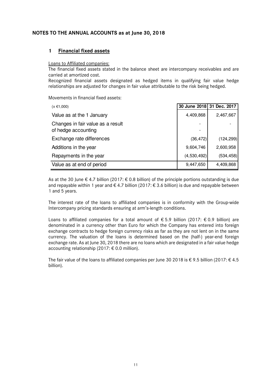#### **NOTES TO THE ANNUAL ACCOUNTS as at June 30, 2018**

#### **1 Financial fixed assets**

#### Loans to Affiliated companies:

The financial fixed assets stated in the balance sheet are intercompany receivables and are carried at amortized cost.

Recognized financial assets designated as hedged items in qualifying fair value hedge relationships are adjusted for changes in fair value attributable to the risk being hedged.

Movements in financial fixed assets:

| $(x \in 1,000)$                                          | 30 June 2018 31 Dec. 2017 |            |
|----------------------------------------------------------|---------------------------|------------|
| Value as at the 1 January                                | 4,409,868                 | 2,467,667  |
| Changes in fair value as a result<br>of hedge accounting |                           |            |
| Exchange rate differences                                | (36, 472)                 | (124, 299) |
| Additions in the year                                    | 9,604,746                 | 2,600,958  |
| Repayments in the year                                   | (4,530,492)               | (534, 458) |
| Value as at end of period                                | 9,447,650                 | 4,409,868  |

As at the 30 June  $\epsilon$  4.7 billion (2017:  $\epsilon$  0.8 billion) of the principle portions outstanding is due and repayable within 1 year and  $\epsilon$  4.7 billion (2017:  $\epsilon$  3.6 billion) is due and repayable between 1 and 5 years.

The interest rate of the loans to affiliated companies is in conformity with the Group-wide Intercompany pricing standards ensuring at arm's-length conditions.

Loans to affiliated companies for a total amount of  $\epsilon$  5.9 billion (2017:  $\epsilon$  0.9 billion) are denominated in a currency other than Euro for which the Company has entered into foreign exchange contracts to hedge foreign currency risks as far as they are not lent on in the same currency. The valuation of the loans is determined based on the (half-) year-end foreign exchange rate. As at June 30, 2018 there are no loans which are designated in a fair value hedge accounting relationship (2017:  $\epsilon$  0.0 million).

The fair value of the loans to affiliated companies per June 30 2018 is  $\epsilon$  9.5 billion (2017:  $\epsilon$  4.5 billion).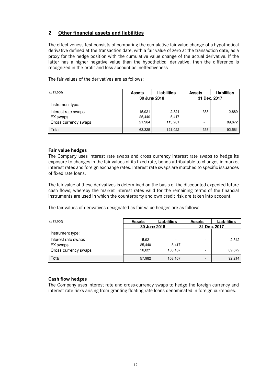#### **2 Other financial assets and liabilities**

The effectiveness test consists of comparing the cumulative fair value change of a hypothetical derivative defined at the transaction date, with a fair value of zero at the transaction date, as a proxy for the hedge position with the cumulative value change of the actual derivative. If the latter has a higher negative value than the hypothetical derivative, then the difference is recognized in the profit and loss account as ineffectiveness

The fair values of the derivatives are as follows:

| $(x \in 1,000)$      | <b>Assets</b> | <b>Liabilities</b> |              | ∟iabilities |
|----------------------|---------------|--------------------|--------------|-------------|
|                      | 30 June 2018  |                    | 31 Dec. 2017 |             |
| Instrument type:     |               |                    |              |             |
| Interest rate swaps  | 15,921        | 2,324              | 353          | 2,889       |
| FX swaps             | 25,440        | 5,417              | ۰            |             |
| Cross currency swaps | 21,964        | 113,281            | ۰            | 89,672      |
| Total                | 63,325        | 121,022            | 353          | 92,561      |

#### **Fair value hedges**

The Company uses interest rate swaps and cross currency interest rate swaps to hedge its exposure to changes in the fair values of its fixed rate, bonds attributable to changes in market interest rates and foreign exchange rates. Interest rate swaps are matched to specific issuances of fixed rate loans.

The fair value of these derivatives is determined on the basis of the discounted expected future cash flows; whereby the market interest rates valid for the remaining terms of the financial instruments are used in which the counterparty and own credit risk are taken into account.

The fair values of derivatives designated as fair value hedges are as follows:

| $(x \in 1,000)$      | <b>Assets</b> | <b>Liabilities</b> | <b>Assets</b> | Liabilities |
|----------------------|---------------|--------------------|---------------|-------------|
|                      | 30 June 2018  |                    | 31 Dec. 2017  |             |
| Instrument type:     |               |                    |               |             |
| Interest rate swaps  | 15,921        | -                  |               | 2,542       |
| FX swaps             | 25,440        | 5,417              | ۰.            |             |
| Cross currency swaps | 16,621        | 108,167            |               | 89,672      |
| Total                | 57,982        | 108,167            |               | 92,214      |

#### **Cash flow hedges**

The Company uses interest rate and cross-currency swaps to hedge the foreign currency and interest rate risks arising from granting floating rate loans denominated in foreign currencies.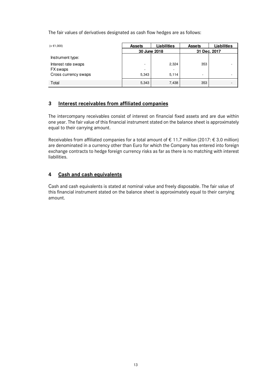The fair values of derivatives designated as cash flow hedges are as follows:

| $(x \in 1,000)$      | <b>Assets</b> | <b>Liabilities</b> | <b>Assets</b> | Liabilities |
|----------------------|---------------|--------------------|---------------|-------------|
|                      | 30 June 2018  |                    | 31 Dec. 2017  |             |
| Instrument type:     |               |                    |               |             |
| Interest rate swaps  | ۰             | 2,324              | 353           |             |
| FX swaps             | ۰             | -                  |               |             |
| Cross currency swaps | 5,343         | 5,114              | Ξ.            |             |
| Total                | 5,343         | 7,438              | 353           |             |

#### **3 Interest receivables from affiliated companies**

The intercompany receivables consist of interest on financial fixed assets and are due within one year. The fair value of this financial instrument stated on the balance sheet is approximately equal to their carrying amount.

Receivables from affiliated companies for a total amount of  $\epsilon$  11.7 million (2017:  $\epsilon$  3.0 million) are denominated in a currency other than Euro for which the Company has entered into foreign exchange contracts to hedge foreign currency risks as far as there is no matching with interest liabilities.

#### **4 Cash and cash equivalents**

Cash and cash equivalents is stated at nominal value and freely disposable. The fair value of this financial instrument stated on the balance sheet is approximately equal to their carrying amount.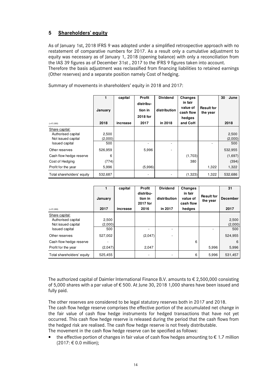# **5 Shareholders' equity**

As of January 1st, 2018 IFRS 9 was adopted under a simplified retrospective approach with no restatement of comparative numbers for 2017. As a result only a cumulative adjustment to equity was necessary as of January 1, 2018 (opening balance) with only a reconciliation from the IAS 39 figures as of December 31st , 2017 to the IFRS 9 figures taken into account. Therefore the basis adjustment was reclassified from financing liabilities to retained earnings (Other reserves) and a separate position namely Cost of hedging.

|                                                                                     | 1<br>January            | capital  | Profit<br>distribu-<br>tion in<br>2018 for | <b>Dividend</b><br>distribution | Changes<br>in fair<br>value of<br>cash flow<br>hedges | <b>Result for</b><br>the year | 30<br>June              |
|-------------------------------------------------------------------------------------|-------------------------|----------|--------------------------------------------|---------------------------------|-------------------------------------------------------|-------------------------------|-------------------------|
| $(x \in 1,000)$                                                                     | 2018                    | increase | 2017                                       | in 2018                         | and CoH                                               |                               | 2018                    |
| Share capital:<br>Authorised capital<br>Not issued capital<br><b>Issued capital</b> | 2,500<br>(2,000)<br>500 |          |                                            |                                 |                                                       |                               | 2,500<br>(2,000)<br>500 |
| Other reserves                                                                      | 526,959                 |          | 5,996                                      |                                 |                                                       |                               | 532,955                 |
| Cash flow hedge reserve                                                             | 6                       |          |                                            |                                 | (1,703)                                               |                               | (1,697)                 |
| Cost of Hedging                                                                     | (774)                   |          |                                            |                                 | 380                                                   |                               | (394)                   |
| Profit for the year                                                                 | 5,996                   |          | (5,996)                                    |                                 |                                                       | 1,322                         | 1,322                   |
| Total shareholders' equity                                                          | 532,687                 |          |                                            |                                 | (1,323)                                               | 1,322                         | 532,686                 |

Summary of movements in shareholders' equity in 2018 and 2017:

| $(x \in 1,000)$            | January<br>2017 | capital<br>increase | <b>Profit</b><br>distribu-<br>tion in<br>2017 for<br>2016 | <b>Dividend</b><br>distribution<br>in 2017 | Changes<br>in fair<br>value of<br>cash flow<br>hedges | <b>Result for</b><br>the year | 31<br><b>December</b><br>2017 |
|----------------------------|-----------------|---------------------|-----------------------------------------------------------|--------------------------------------------|-------------------------------------------------------|-------------------------------|-------------------------------|
| Share capital:             |                 |                     |                                                           |                                            |                                                       |                               |                               |
| Authorised capital         | 2,500           |                     |                                                           |                                            |                                                       |                               | 2,500                         |
| Not issued capital         | (2,000)         |                     |                                                           |                                            |                                                       |                               | (2,000)                       |
| <b>Issued capital</b>      | 500             |                     |                                                           |                                            |                                                       |                               | 500                           |
| Other reserves             | 527,002         |                     | (2,047)                                                   |                                            |                                                       |                               | 524,955                       |
| Cash flow hedge reserve    |                 |                     |                                                           |                                            | 6                                                     |                               | 6                             |
| Profit for the year        | (2,047)         |                     | 2,047                                                     |                                            |                                                       | 5,996                         | 5,996                         |
| Total shareholders' equity | 525,455         |                     |                                                           |                                            | 6                                                     | 5,996                         | 531,457                       |

The authorized capital of Daimler International Finance B.V. amounts to  $\epsilon$  2,500,000 consisting of 5,000 shares with a par value of € 500. At June 30, 2018 1,000 shares have been issued and fully paid.

The other reserves are considered to be legal statutory reserves both in 2017 and 2018. The cash flow hedge reserve comprises the effective portion of the accumulated net change in the fair value of cash flow hedge instruments for hedged transactions that have not yet occurred. This cash flow hedge reserve is released during the period that the cash flows from the hedged risk are realised. The cash flow hedge reserve is not freely distributable. The movement in the cash flow hedge reserve can be specified as follows:

the effective portion of changes in fair value of cash flow hedges amounting to  $\epsilon$  1.7 million (2017: € 0.0 million);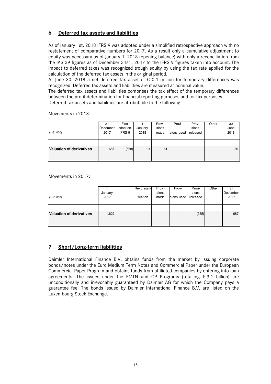#### **6 Deferred tax assets and liabilities**

As of January 1st, 2018 IFRS 9 was adopted under a simplified retrospective approach with no restatement of comparative numbers for 2017. As a result only a cumulative adjustment to equity was necessary as of January 1, 2018 (opening balance) with only a reconciliation from the IAS 39 figures as of December 31st , 2017 to the IFRS 9 figures taken into account. The impact to deferred taxes was recognized trough equity by using the tax rate applied for the calculation of the deferred tax assets in the original period.

At June 30, 2018 a net deferred tax asset of  $\epsilon$  0.1 million for temporary differences was recognized. Deferred tax assets and liabilities are measured at nominal value.

The deferred tax assets and liabilities comprises the tax effect of the temporary differences between the profit determination for financial reporting purposes and for tax purposes.

Deferred tax assets and liabilities are attributable to the following:

| $(x \in 1,000)$                 | 31<br>December<br>2017 | First<br>adoption<br>IFRS 9 | January<br>2018 | Provi-<br>sions<br>made | Provi-<br>sions used | Provi-<br>sions<br>released | Other | 30<br>June<br>2018 |
|---------------------------------|------------------------|-----------------------------|-----------------|-------------------------|----------------------|-----------------------------|-------|--------------------|
| <b>Valuation of derivatives</b> | 687                    | (668)                       | 19              | 61                      |                      | $\overline{\phantom{0}}$    |       | 80                 |

Movements in 2018:

#### Movements in 2017:

|                                 |         | Re-classi- | Provi-                   | Provi-                   | Provi-   | Other          | 31       |
|---------------------------------|---------|------------|--------------------------|--------------------------|----------|----------------|----------|
|                                 | January |            | sions                    |                          | sions    |                | December |
| $(x \in 1,000)$                 | 2017    | fication   | made                     | sions used               | released |                | 2017     |
|                                 |         |            |                          |                          |          |                |          |
|                                 |         |            |                          |                          |          |                |          |
| <b>Valuation of derivatives</b> | 1,622   | -          | $\overline{\phantom{0}}$ | $\overline{\phantom{0}}$ | (935)    | $\overline{a}$ | 687      |
|                                 |         |            |                          |                          |          |                |          |
|                                 |         |            |                          |                          |          |                |          |

# **7 Short/Long-term liabilities**

Daimler International Finance B.V. obtains funds from the market by issuing corporate bonds/notes under the Euro Medium Term Notes and Commercial Paper under the European Commercial Paper Program and obtains funds from affiliated companies by entering into loan agreements. The issues under the EMTN and CP Programs (totalling  $\epsilon$  9.1 billion) are unconditionally and irrevocably guaranteed by Daimler AG for which the Company pays a guarantee fee. The bonds issued by Daimler International Finance B.V. are listed on the Luxembourg Stock Exchange.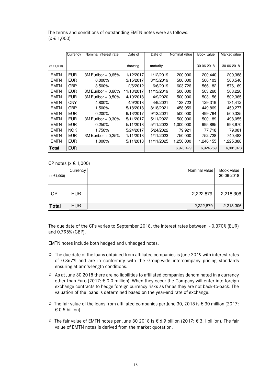The terms and conditions of outstanding EMTN notes were as follows:  $(x \in 1,000)$ 

|                 | Currency   | Nominal interest rate | Date of    | Date of    | Nominal value | Book value | Market value |
|-----------------|------------|-----------------------|------------|------------|---------------|------------|--------------|
|                 |            |                       |            |            |               |            |              |
| $(x \in 1,000)$ |            |                       | drawing    | maturity   |               | 30-06-2018 | 30-06-2018   |
| <b>EMTN</b>     | EUR.       | $3M$ Euribor + 0.65%  | 1/12/2017  | 1/12/2019  | 200,000       | 200,440    | 200,388      |
| <b>EMTN</b>     | <b>EUR</b> | $0.000\%$             | 3/15/2017  | 3/15/2019  | 500,000       | 500,103    | 500,540      |
| <b>EMTN</b>     | <b>GBP</b> | $3.500\%$             | 2/6/2012   | 6/6/2019   | 603,726       | 566,182    | 576,169      |
| <b>EMTN</b>     | EUR.       | 3M Euribor + 0.60%    | 11/13/2017 | 11/13/2019 | 500,000       | 503,260    | 503,220      |
| <b>EMTN</b>     | <b>EUR</b> | 3M Euribor + 0.50%    | 4/10/2018  | 4/9/2020   | 500,000       | 503,156    | 502,365      |
| <b>EMTN</b>     | <b>CNY</b> | 4.800%                | 4/9/2018   | 4/9/2021   | 128,723       | 129,319    | 131,412      |
| <b>EMTN</b>     | <b>GBP</b> | 1.500%                | 5/18/2018  | 8/18/2021  | 458,059       | 449,869    | 450,277      |
| <b>EMTN</b>     | EUR.       | $0.200\%$             | 9/13/2017  | 9/13/2021  | 500,000       | 499,764    | 500,325      |
| <b>EMTN</b>     | <b>EUR</b> | 3M Euribor + 0,30%    | 5/11/2017  | 5/11/2022  | 500,000       | 500,189    | 498,055      |
| <b>EMTN</b>     | EUR.       | 0.250%                | 5/11/2018  | 5/11/2022  | 1,000,000     | 995,885    | 993,670      |
| <b>EMTN</b>     | NOK.       | 1.750%                | 5/24/2017  | 5/24/2022  | 79.921        | 77,718     | 79,081       |
| <b>EMTN</b>     | EUR.       | $3M$ Euribor + 0,25%  | 1/11/2018  | 1/11/2023  | 750,000       | 752,728    | 740,483      |
| <b>EMTN</b>     | EUR.       | 1.000%                | 5/11/2018  | 11/11/2025 | 1,250,000     | 1,246,155  | 1,225,388    |
| <b>Total</b>    | <b>EUR</b> |                       |            |            | 6,970,429     | 6,924,769  | 6,901,373    |

CP notes (x € 1,000)

| $(x \in 1,000)$ | Currency   | Nominal value | Book value<br>30-06-2018 |
|-----------------|------------|---------------|--------------------------|
| CP              | <b>EUR</b> | 2,222,879     | 2,218,306                |
| <b>Total</b>    | <b>EUR</b> | 2,222,879     | 2,218,306                |

The due date of the CPs varies to September 2018, the interest rates between - 0.370% (EUR) and 0.795% (GBP).

EMTN notes include both hedged and unhedged notes.

- **◊** The due date of the loans obtained from affiliated companies is June 2019 with interest rates of 0.367% and are in conformity with the Group-wide intercompany pricing standards ensuring at arm's-length conditions.
- **◊** As at June 30 2018 there are no liabilities to affiliated companies denominated in a currency other than Euro (2017: € 0.0 million). When they occur the Company will enter into foreign exchange contracts to hedge foreign currency risks as far as they are not back-to-back. The valuation of the loans is determined based on the year-end rate of exchange.
- **◊** The fair value of the loans from affiliated companies per June 30, 2018 is € 30 million (2017:  $\epsilon$  0.5 billion).
- **◊** The fair value of EMTN notes per June 30 2018 is € 6.9 billion (2017: € 3.1 billion). The fair value of EMTN notes is derived from the market quotation.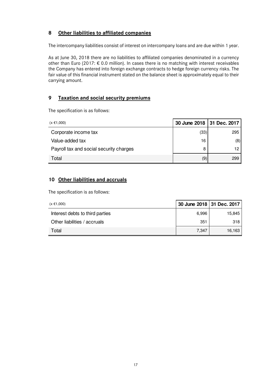# **8 Other liabilities to affiliated companies**

The intercompany liabilities consist of interest on intercompany loans and are due within 1 year.

As at June 30, 2018 there are no liabilities to affiliated companies denominated in a currency other than Euro (2017:  $\epsilon$  0.0 million). In cases there is no matching with interest receivables the Company has entered into foreign exchange contracts to hedge foreign currency risks. The fair value of this financial instrument stated on the balance sheet is approximately equal to their carrying amount.

#### **9 Taxation and social security premiums**

The specification is as follows:

| $(x \in 1,000)$                         |      | 30 June 2018   31 Dec. 2017 |
|-----------------------------------------|------|-----------------------------|
| Corporate income tax                    | (33) | 295                         |
| Value-added tax                         | 16   | (8)                         |
| Payroll tax and social security charges | 8    | 12                          |
| Total                                   | (9)  | 299                         |

#### **10 Other liabilities and accruals**

The specification is as follows:

| (x €1,000)                      | 30 June 2018 31 Dec. 2017 |        |
|---------------------------------|---------------------------|--------|
| Interest debts to third parties | 6,996                     | 15,845 |
| Other liabilities / accruals    | 351                       | 318    |
| Total                           | 7.347                     | 16,163 |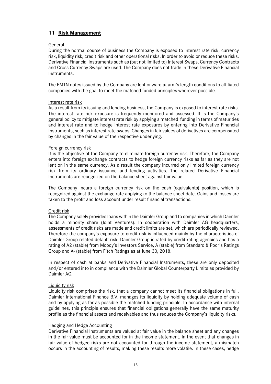#### **11 Risk Management**

#### General

During the normal course of business the Company is exposed to interest rate risk, currency risk, liquidity risk, credit risk and other operational risks. In order to avoid or reduce these risks, Derivative Financial Instruments such as (but not limited to) Interest Swaps, Currency Contracts and Cross Currency Swaps are used. The Company does not trade in these Derivative Financial Instruments.

The EMTN notes issued by the Company are lent onward at arm's length conditions to affiliated companies with the goal to meet the matched funded principles wherever possible.

#### Interest rate risk

As a result from its issuing and lending business, the Company is exposed to interest rate risks. The interest rate risk exposure is frequently monitored and assessed. It is the Company's general policy to mitigate interest rate risk by applying a matched funding in terms of maturities and interest rate and to hedge interest rate exposures by entering into Derivative Financial Instruments, such as interest rate swaps. Changes in fair values of derivatives are compensated by changes in the fair value of the respective underlying.

#### Foreign currency risk

It is the objective of the Company to eliminate foreign currency risk. Therefore, the Company enters into foreign exchange contracts to hedge foreign currency risks as far as they are not lent on in the same currency. As a result the company incurred only limited foreign currency risk from its ordinary issuance and lending activities. The related Derivative Financial Instruments are recognized on the balance sheet against fair value.

The Company incurs a foreign currency risk on the cash (equivalents) position, which is recognized against the exchange rate applying to the balance sheet date. Gains and losses are taken to the profit and loss account under result financial transactions.

#### Credit risk

The Company solely provides loans within the Daimler Group and to companies in which Daimler holds a minority share (Joint Ventures). In cooperation with Daimler AG headquarters, assessments of credit risks are made and credit limits are set, which are periodically reviewed. Therefore the company's exposure to credit risk is influenced mainly by the characteristics of Daimler Group related default risk. Daimler Group is rated by credit rating agencies and has a rating of A2 (stable) from Moody's Investors Service, A (stable) from Standard & Poor's Ratings Group and A- (stable) from Fitch Ratings as at June 30, 2018.

In respect of cash at banks and Derivative Financial Instruments, these are only deposited and/or entered into in compliance with the Daimler Global Counterparty Limits as provided by Daimler AG.

#### Liquidity risk

Liquidity risk comprises the risk, that a company cannot meet its financial obligations in full. Daimler International Finance B.V. manages its liquidity by holding adequate volume of cash and by applying as far as possible the matched funding principle. In accordance with internal guidelines, this principle ensures that financial obligations generally have the same maturity profile as the financial assets and receivables and thus reduces the Company's liquidity risks.

#### Hedging and Hedge Accounting

Derivative Financial Instruments are valued at fair value in the balance sheet and any changes in the fair value must be accounted for in the income statement. In the event that changes in fair value of hedged risks are not accounted for through the income statement, a mismatch occurs in the accounting of results, making these results more volatile. In these cases, hedge